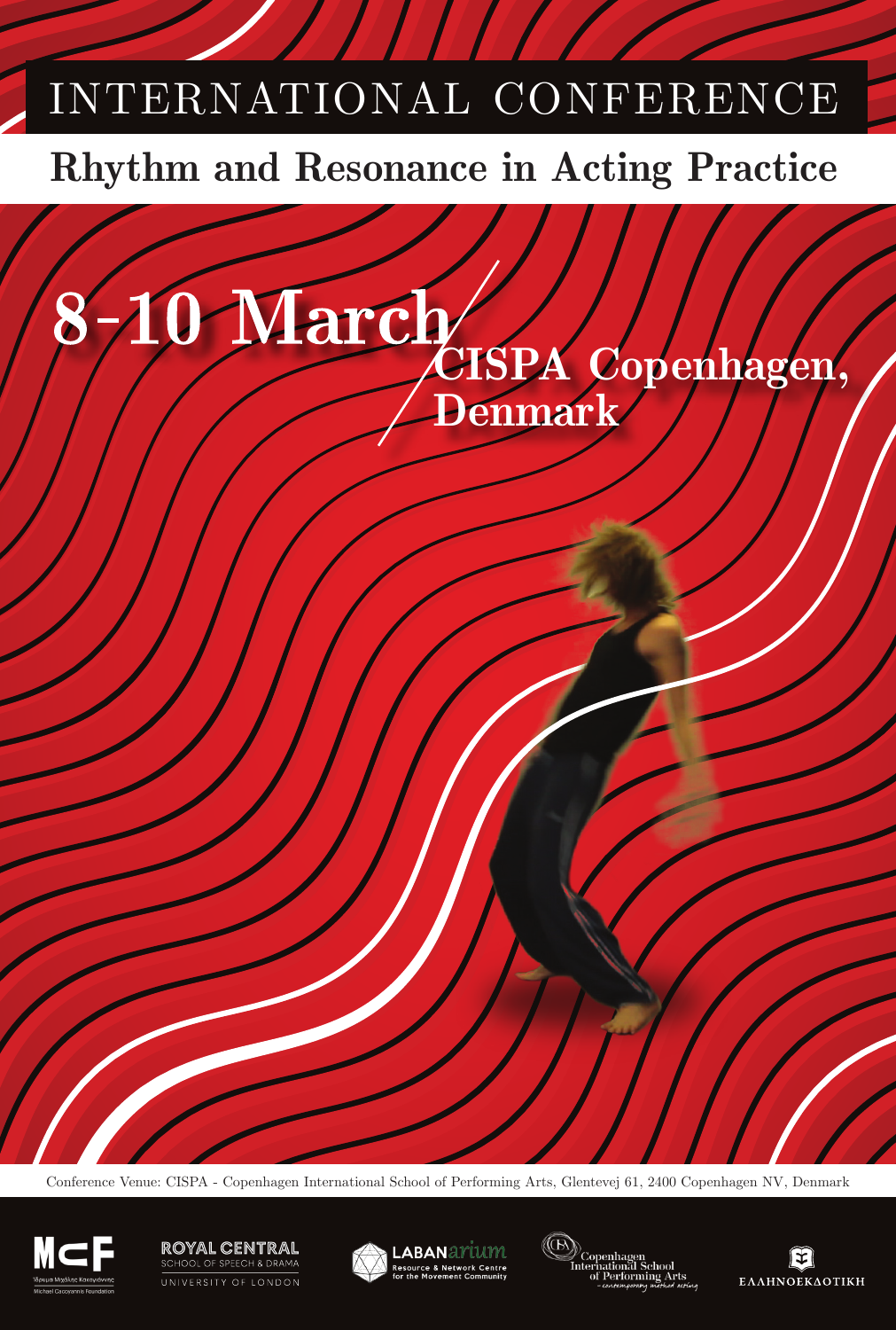# INTERNATIONAL CONFERENCE

# **Rhythm and Resonance in Acting Practice**



Conference Venue: CISPA - Copenhagen International School of Performing Arts, Glentevej 61, 2400 Copenhagen NV, Denmark



#### **ROYAL CENTRAL** OOL OF SPEECH & DRAMA UNIVERSITY OF LONDON